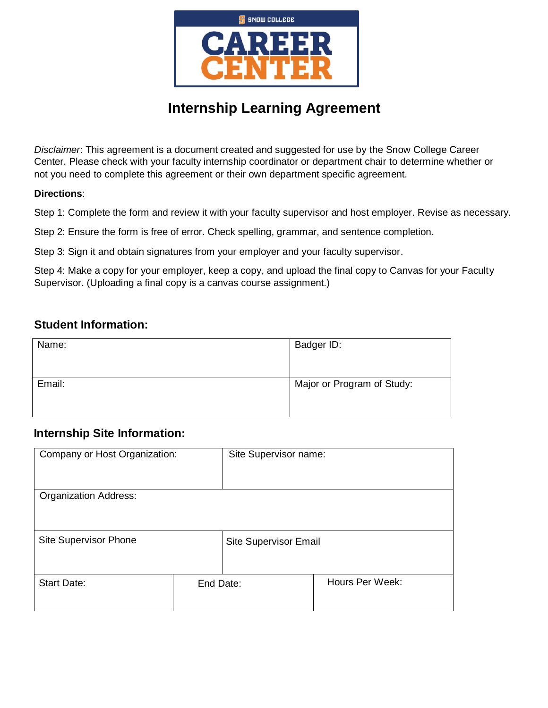

# **Internship Learning Agreement**

*Disclaimer*: This agreement is a document created and suggested for use by the Snow College Career Center. Please check with your faculty internship coordinator or department chair to determine whether or not you need to complete this agreement or their own department specific agreement.

#### **Directions**:

Step 1: Complete the form and review it with your faculty supervisor and host employer. Revise as necessary.

Step 2: Ensure the form is free of error. Check spelling, grammar, and sentence completion.

Step 3: Sign it and obtain signatures from your employer and your faculty supervisor.

Step 4: Make a copy for your employer, keep a copy, and upload the final copy to Canvas for your Faculty Supervisor. (Uploading a final copy is a canvas course assignment.)

#### **Student Information:**

| Name:  | Badger ID:                 |
|--------|----------------------------|
| Email: | Major or Program of Study: |

#### **Internship Site Information:**

| Company or Host Organization: |           | Site Supervisor name:        |                 |
|-------------------------------|-----------|------------------------------|-----------------|
| <b>Organization Address:</b>  |           |                              |                 |
| <b>Site Supervisor Phone</b>  |           | <b>Site Supervisor Email</b> |                 |
| <b>Start Date:</b>            | End Date: |                              | Hours Per Week: |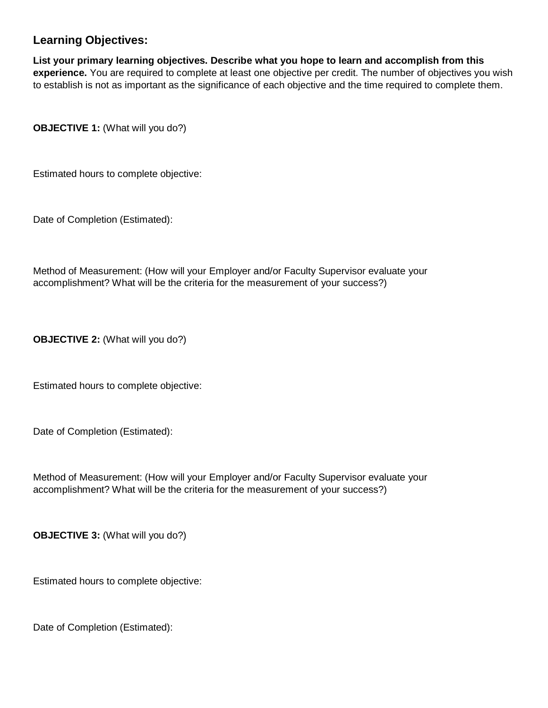### **Learning Objectives:**

**List your primary learning objectives. Describe what you hope to learn and accomplish from this experience.** You are required to complete at least one objective per credit. The number of objectives you wish to establish is not as important as the significance of each objective and the time required to complete them.

**OBJECTIVE 1:** (What will you do?)

Estimated hours to complete objective:

Date of Completion (Estimated):

Method of Measurement: (How will your Employer and/or Faculty Supervisor evaluate your accomplishment? What will be the criteria for the measurement of your success?)

**OBJECTIVE 2:** (What will you do?)

Estimated hours to complete objective:

Date of Completion (Estimated):

Method of Measurement: (How will your Employer and/or Faculty Supervisor evaluate your accomplishment? What will be the criteria for the measurement of your success?)

**OBJECTIVE 3:** (What will you do?)

Estimated hours to complete objective:

Date of Completion (Estimated):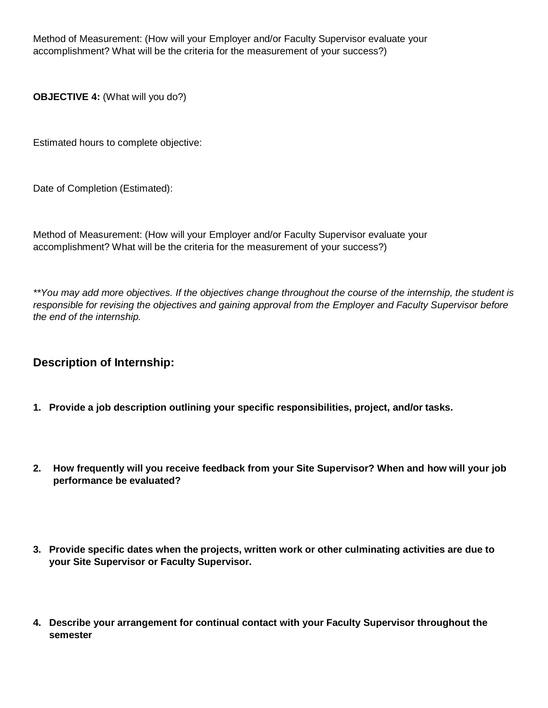Method of Measurement: (How will your Employer and/or Faculty Supervisor evaluate your accomplishment? What will be the criteria for the measurement of your success?)

**OBJECTIVE 4:** (What will you do?)

Estimated hours to complete objective:

Date of Completion (Estimated):

Method of Measurement: (How will your Employer and/or Faculty Supervisor evaluate your accomplishment? What will be the criteria for the measurement of your success?)

*\*\*You may add more objectives. If the objectives change throughout the course of the internship, the student is responsible for revising the objectives and gaining approval from the Employer and Faculty Supervisor before the end of the internship.*

#### **Description of Internship:**

- **1. Provide a job description outlining your specific responsibilities, project, and/or tasks.**
- **2. How frequently will you receive feedback from your Site Supervisor? When and how will your job performance be evaluated?**
- **3. Provide specific dates when the projects, written work or other culminating activities are due to your Site Supervisor or Faculty Supervisor.**
- **4. Describe your arrangement for continual contact with your Faculty Supervisor throughout the semester**